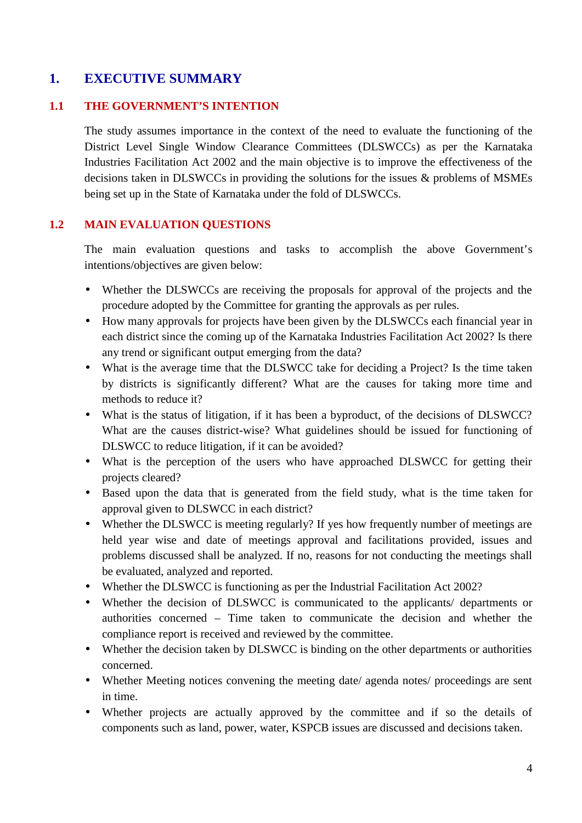# **1. EXECUTIVE SUMMARY**

#### **1.1 THE GOVERNMENT'S INTENTION**

The study assumes importance in the context of the need to evaluate the functioning of the District Level Single Window Clearance Committees (DLSWCCs) as per the Karnataka Industries Facilitation Act 2002 and the main objective is to improve the effectiveness of the decisions taken in DLSWCCs in providing the solutions for the issues & problems of MSMEs being set up in the State of Karnataka under the fold of DLSWCCs.

#### **1.2 MAIN EVALUATION QUESTIONS**

The main evaluation questions and tasks to accomplish the above Government's intentions/objectives are given below:

- Whether the DLSWCCs are receiving the proposals for approval of the projects and the procedure adopted by the Committee for granting the approvals as per rules.
- How many approvals for projects have been given by the DLSWCCs each financial year in each district since the coming up of the Karnataka Industries Facilitation Act 2002? Is there any trend or significant output emerging from the data?
- What is the average time that the DLSWCC take for deciding a Project? Is the time taken by districts is significantly different? What are the causes for taking more time and methods to reduce it?
- What is the status of litigation, if it has been a byproduct, of the decisions of DLSWCC? What are the causes district-wise? What guidelines should be issued for functioning of DLSWCC to reduce litigation, if it can be avoided?
- What is the perception of the users who have approached DLSWCC for getting their projects cleared?
- Based upon the data that is generated from the field study, what is the time taken for approval given to DLSWCC in each district?
- Whether the DLSWCC is meeting regularly? If yes how frequently number of meetings are held year wise and date of meetings approval and facilitations provided, issues and problems discussed shall be analyzed. If no, reasons for not conducting the meetings shall be evaluated, analyzed and reported.
- Whether the DLSWCC is functioning as per the Industrial Facilitation Act 2002?
- Whether the decision of DLSWCC is communicated to the applicants/ departments or authorities concerned – Time taken to communicate the decision and whether the compliance report is received and reviewed by the committee.
- Whether the decision taken by DLSWCC is binding on the other departments or authorities concerned.
- Whether Meeting notices convening the meeting date/ agenda notes/ proceedings are sent in time.
- Whether projects are actually approved by the committee and if so the details of components such as land, power, water, KSPCB issues are discussed and decisions taken.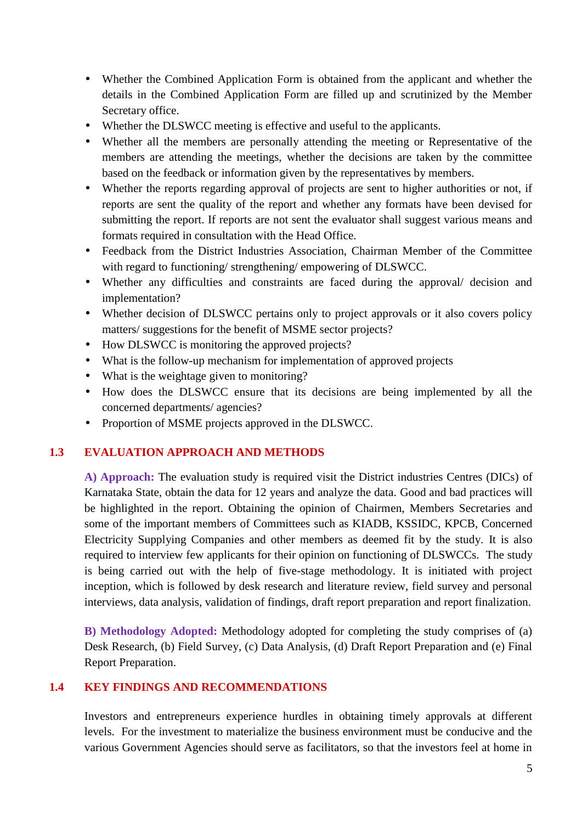- Whether the Combined Application Form is obtained from the applicant and whether the details in the Combined Application Form are filled up and scrutinized by the Member Secretary office.
- Whether the DLSWCC meeting is effective and useful to the applicants.
- Whether all the members are personally attending the meeting or Representative of the members are attending the meetings, whether the decisions are taken by the committee based on the feedback or information given by the representatives by members.
- Whether the reports regarding approval of projects are sent to higher authorities or not, if reports are sent the quality of the report and whether any formats have been devised for submitting the report. If reports are not sent the evaluator shall suggest various means and formats required in consultation with the Head Office.
- Feedback from the District Industries Association, Chairman Member of the Committee with regard to functioning/ strengthening/ empowering of DLSWCC.
- Whether any difficulties and constraints are faced during the approval/ decision and implementation?
- Whether decision of DLSWCC pertains only to project approvals or it also covers policy matters/ suggestions for the benefit of MSME sector projects?
- How DLSWCC is monitoring the approved projects?
- What is the follow-up mechanism for implementation of approved projects
- What is the weightage given to monitoring?
- How does the DLSWCC ensure that its decisions are being implemented by all the concerned departments/ agencies?
- Proportion of MSME projects approved in the DLSWCC.

### **1.3 EVALUATION APPROACH AND METHODS**

**A) Approach:** The evaluation study is required visit the District industries Centres (DICs) of Karnataka State, obtain the data for 12 years and analyze the data. Good and bad practices will be highlighted in the report. Obtaining the opinion of Chairmen, Members Secretaries and some of the important members of Committees such as KIADB, KSSIDC, KPCB, Concerned Electricity Supplying Companies and other members as deemed fit by the study. It is also required to interview few applicants for their opinion on functioning of DLSWCCs. The study is being carried out with the help of five-stage methodology. It is initiated with project inception, which is followed by desk research and literature review, field survey and personal interviews, data analysis, validation of findings, draft report preparation and report finalization.

**B) Methodology Adopted:** Methodology adopted for completing the study comprises of (a) Desk Research, (b) Field Survey, (c) Data Analysis, (d) Draft Report Preparation and (e) Final Report Preparation.

#### **1.4 KEY FINDINGS AND RECOMMENDATIONS**

Investors and entrepreneurs experience hurdles in obtaining timely approvals at different levels. For the investment to materialize the business environment must be conducive and the various Government Agencies should serve as facilitators, so that the investors feel at home in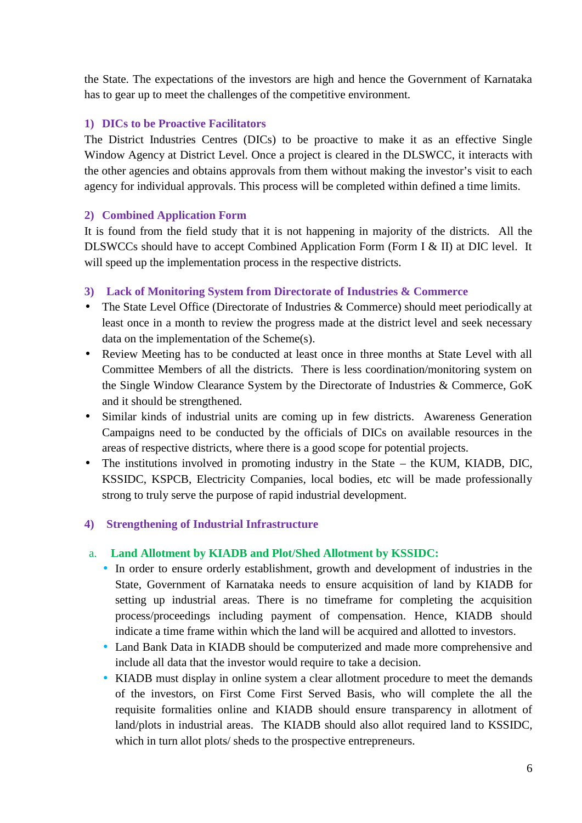the State. The expectations of the investors are high and hence the Government of Karnataka has to gear up to meet the challenges of the competitive environment.

### **1) DICs to be Proactive Facilitators**

The District Industries Centres (DICs) to be proactive to make it as an effective Single Window Agency at District Level. Once a project is cleared in the DLSWCC, it interacts with the other agencies and obtains approvals from them without making the investor's visit to each agency for individual approvals. This process will be completed within defined a time limits.

#### **2) Combined Application Form**

It is found from the field study that it is not happening in majority of the districts. All the DLSWCCs should have to accept Combined Application Form (Form I & II) at DIC level. It will speed up the implementation process in the respective districts.

#### **3) Lack of Monitoring System from Directorate of Industries & Commerce**

- The State Level Office (Directorate of Industries & Commerce) should meet periodically at least once in a month to review the progress made at the district level and seek necessary data on the implementation of the Scheme(s).
- Review Meeting has to be conducted at least once in three months at State Level with all Committee Members of all the districts. There is less coordination/monitoring system on the Single Window Clearance System by the Directorate of Industries & Commerce, GoK and it should be strengthened.
- Similar kinds of industrial units are coming up in few districts. Awareness Generation Campaigns need to be conducted by the officials of DICs on available resources in the areas of respective districts, where there is a good scope for potential projects.
- The institutions involved in promoting industry in the State the KUM, KIADB, DIC, KSSIDC, KSPCB, Electricity Companies, local bodies, etc will be made professionally strong to truly serve the purpose of rapid industrial development.

#### **4) Strengthening of Industrial Infrastructure**

#### a. **Land Allotment by KIADB and Plot/Shed Allotment by KSSIDC:**

- $\hat{N}$  In order to ensure orderly establishment, growth and development of industries in the State, Government of Karnataka needs to ensure acquisition of land by KIADB for setting up industrial areas. There is no timeframe for completing the acquisition process/proceedings including payment of compensation. Hence, KIADB should indicate a time frame within which the land will be acquired and allotted to investors.
- $\overline{N}$  Land Bank Data in KIADB should be computerized and made more comprehensive and include all data that the investor would require to take a decision.
- $\tilde{N}$  KIADB must display in online system a clear allotment procedure to meet the demands of the investors, on First Come First Served Basis, who will complete the all the requisite formalities online and KIADB should ensure transparency in allotment of land/plots in industrial areas. The KIADB should also allot required land to KSSIDC, which in turn allot plots/ sheds to the prospective entrepreneurs.